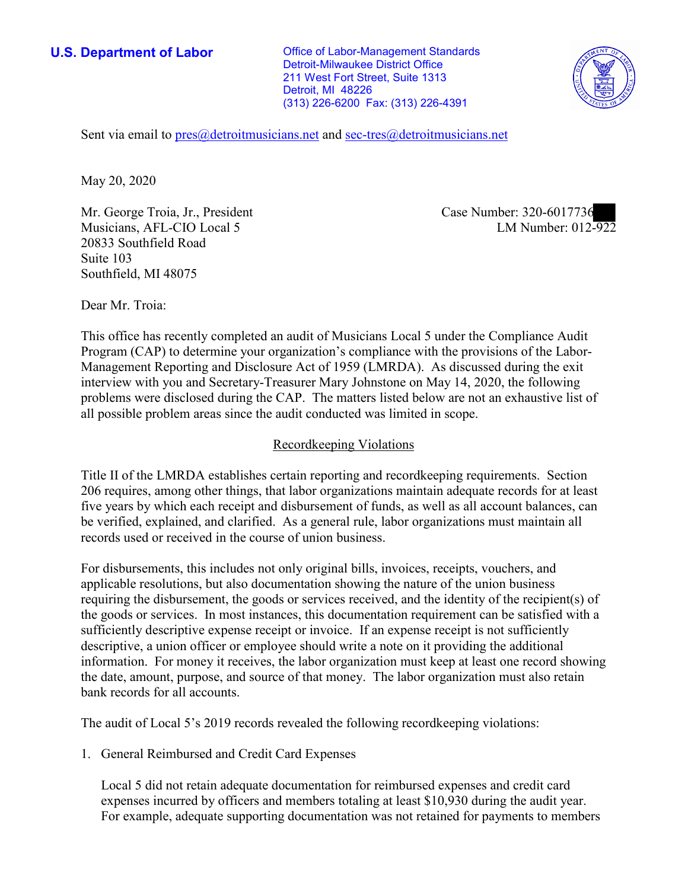**U.S. Department of Labor Conservative Conservative Conservative Conservative U.S.** Department of Labor Detroit-Milwaukee District Office 211 West Fort Street, Suite 1313 Detroit, MI 48226 (313) 226-6200 Fax: (313) 226-4391



Sent via email to [pres@detroitmusicians.net](mailto:pres@detroitmusicians.net) and <u>sec-tres@detroitmusicians.net</u><br>May 20, 2020

Mr. George Troia, Jr., President Musicians, AFL-CIO Local 5 20833 Southfield Road Suite 103 Southfield, MI 48075

Case Number: 320-6017736<br>LM Number: 012-922

Dear Mr. Troia:

 This office has recently completed an audit of Musicians Local 5 under the Compliance Audit Program (CAP) to determine your organization's compliance with the provisions of the Labor-Management Reporting and Disclosure Act of 1959 (LMRDA). As discussed during the exit interview with you and Secretary-Treasurer Mary Johnstone on May 14, 2020, the following problems were disclosed during the CAP. The matters listed below are not an exhaustive list of all possible problem areas since the audit conducted was limited in scope.

## Recordkeeping Violations

 Title II of the LMRDA establishes certain reporting and recordkeeping requirements. Section 206 requires, among other things, that labor organizations maintain adequate records for at least five years by which each receipt and disbursement of funds, as well as all account balances, can be verified, explained, and clarified. As a general rule, labor organizations must maintain all records used or received in the course of union business.

For disbursements, this includes not only original bills, invoices, receipts, vouchers, and applicable resolutions, but also documentation showing the nature of the union business requiring the disbursement, the goods or services received, and the identity of the recipient(s) of the goods or services. In most instances, this documentation requirement can be satisfied with a sufficiently descriptive expense receipt or invoice. If an expense receipt is not sufficiently descriptive, a union officer or employee should write a note on it providing the additional information. For money it receives, the labor organization must keep at least one record showing the date, amount, purpose, and source of that money. The labor organization must also retain bank records for all accounts.

The audit of Local 5's 2019 records revealed the following recordkeeping violations:

1. General Reimbursed and Credit Card Expenses

Local 5 did not retain adequate documentation for reimbursed expenses and credit card expenses incurred by officers and members totaling at least \$10,930 during the audit year. For example, adequate supporting documentation was not retained for payments to members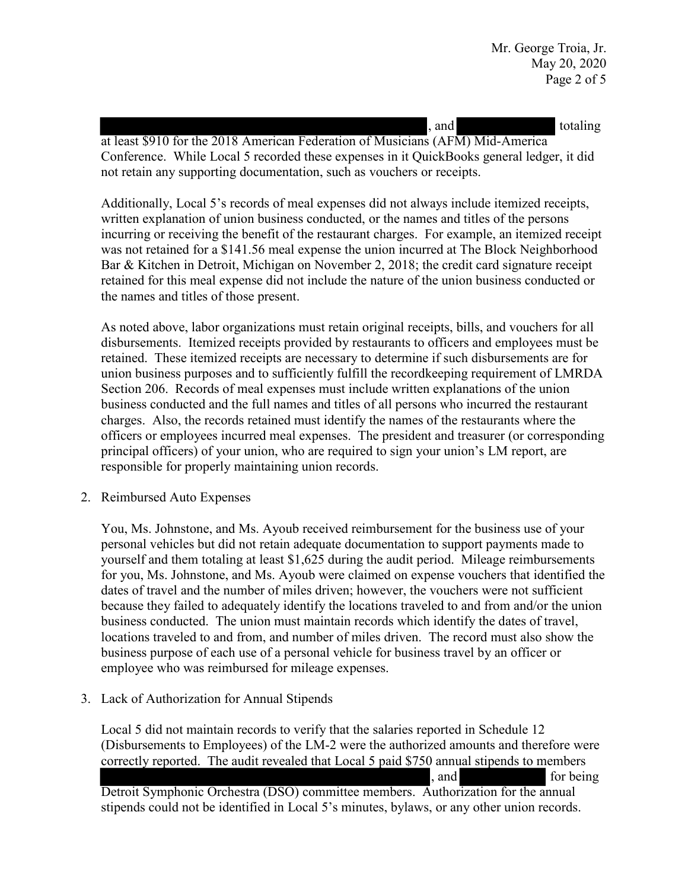at least \$910 for the 2018 American Federation of Musicians (AFM) Mid-America not retain any supporting documentation, such as vouchers or receipts. and totaling Conference. While Local 5 recorded these expenses in it QuickBooks general ledger, it did

 incurring or receiving the benefit of the restaurant charges. For example, an itemized receipt Additionally, Local 5's records of meal expenses did not always include itemized receipts, written explanation of union business conducted, or the names and titles of the persons was not retained for a \$141.56 meal expense the union incurred at The Block Neighborhood Bar & Kitchen in Detroit, Michigan on November 2, 2018; the credit card signature receipt retained for this meal expense did not include the nature of the union business conducted or the names and titles of those present.

 union business purposes and to sufficiently fulfill the recordkeeping requirement of LMRDA charges. Also, the records retained must identify the names of the restaurants where the As noted above, labor organizations must retain original receipts, bills, and vouchers for all disbursements. Itemized receipts provided by restaurants to officers and employees must be retained. These itemized receipts are necessary to determine if such disbursements are for Section 206. Records of meal expenses must include written explanations of the union business conducted and the full names and titles of all persons who incurred the restaurant officers or employees incurred meal expenses. The president and treasurer (or corresponding principal officers) of your union, who are required to sign your union's LM report, are responsible for properly maintaining union records.

2. Reimbursed Auto Expenses

 You, Ms. Johnstone, and Ms. Ayoub received reimbursement for the business use of your personal vehicles but did not retain adequate documentation to support payments made to business purpose of each use of a personal vehicle for business travel by an officer or yourself and them totaling at least \$1,625 during the audit period. Mileage reimbursements for you, Ms. Johnstone, and Ms. Ayoub were claimed on expense vouchers that identified the dates of travel and the number of miles driven; however, the vouchers were not sufficient because they failed to adequately identify the locations traveled to and from and/or the union business conducted. The union must maintain records which identify the dates of travel, locations traveled to and from, and number of miles driven. The record must also show the employee who was reimbursed for mileage expenses.

3. Lack of Authorization for Annual Stipends

 Detroit Symphonic Orchestra (DSO) committee members. Authorization for the annual Local 5 did not maintain records to verify that the salaries reported in Schedule 12 (Disbursements to Employees) of the LM-2 were the authorized amounts and therefore were stipends could not be identified in Local 5's minutes, bylaws, or any other union records. correctly reported. The audit revealed that Local 5 paid \$750 annual stipends to members , and for being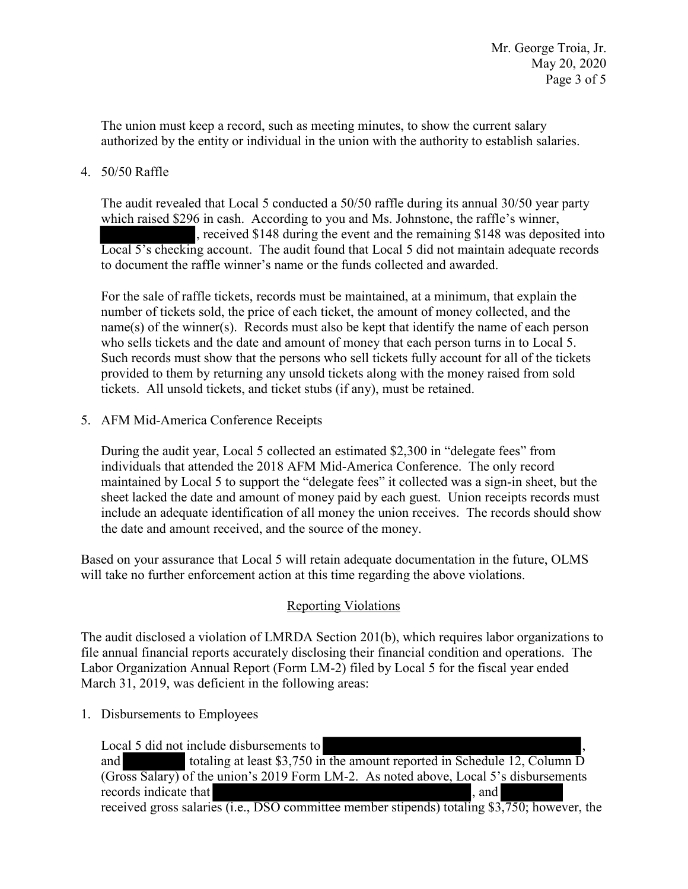The union must keep a record, such as meeting minutes, to show the current salary authorized by the entity or individual in the union with the authority to establish salaries.

## 4. 50/50 Raffle

 Local 5's checking account. The audit found that Local 5 did not maintain adequate records The audit revealed that Local 5 conducted a 50/50 raffle during its annual 30/50 year party which raised \$296 in cash. According to you and Ms. Johnstone, the raffle's winner, , received \$148 during the event and the remaining \$148 was deposited into to document the raffle winner's name or the funds collected and awarded.

For the sale of raffle tickets, records must be maintained, at a minimum, that explain the number of tickets sold, the price of each ticket, the amount of money collected, and the name(s) of the winner(s). Records must also be kept that identify the name of each person who sells tickets and the date and amount of money that each person turns in to Local 5. Such records must show that the persons who sell tickets fully account for all of the tickets provided to them by returning any unsold tickets along with the money raised from sold tickets. All unsold tickets, and ticket stubs (if any), must be retained.

5. AFM Mid-America Conference Receipts

 maintained by Local 5 to support the "delegate fees" it collected was a sign-in sheet, but the sheet lacked the date and amount of money paid by each guest. Union receipts records must During the audit year, Local 5 collected an estimated \$2,300 in "delegate fees" from individuals that attended the 2018 AFM Mid-America Conference. The only record include an adequate identification of all money the union receives. The records should show the date and amount received, and the source of the money.

 Based on your assurance that Local 5 will retain adequate documentation in the future, OLMS will take no further enforcement action at this time regarding the above violations.

## Reporting Violations

 Labor Organization Annual Report (Form LM-2) filed by Local 5 for the fiscal year ended The audit disclosed a violation of LMRDA Section 201(b), which requires labor organizations to file annual financial reports accurately disclosing their financial condition and operations. The March 31, 2019, was deficient in the following areas:

1. Disbursements to Employees

al 5 d<br>
oss S<br>
ords i e 12,<br>s dis<br>,750 Local 5 did not include disbursements to and totaling at least \$3,750 in the amount reported in Schedule 12, Column D (Gross Salary) of the union's 2019 Form LM-2. As noted above, Local 5's disbursements records indicate that  $\blacksquare$ received gross salaries (i.e., DSO committee member stipends) totaling \$3,750; however, the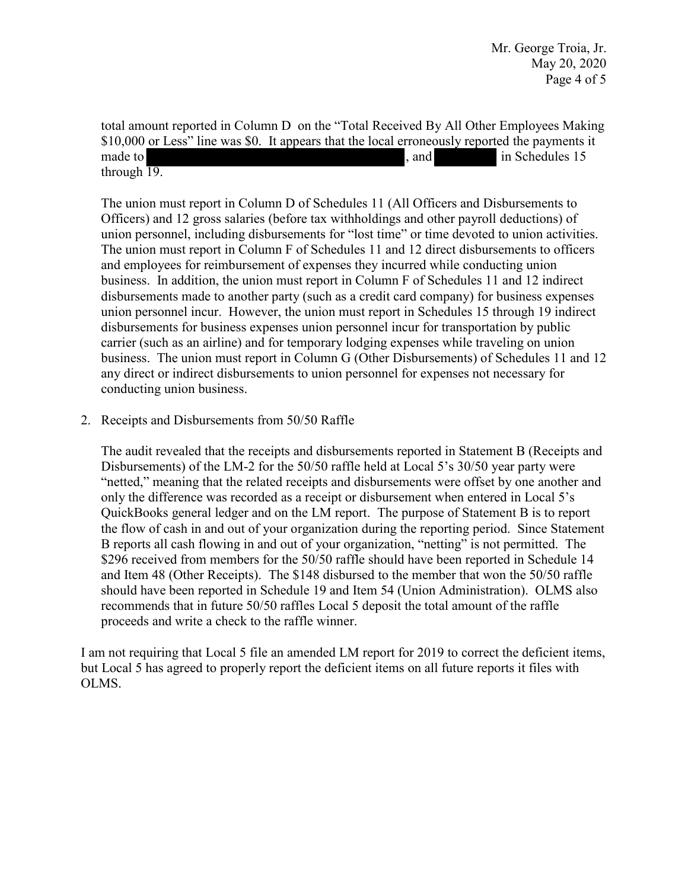Mr. George Troia, Jr. May 20, 2020 Page 4 of 5

y All<br>ously<br>. total amount reported in Column D on the "Total Received By All Other Employees Making \$10,000 or Less" line was \$0. It appears that the local erroneously reported the payments it made to **in Schedules 15** and in Schedules 15 through  $\overline{19}$ .

union personnel, including disbursements for "lost time" or time devoted to union activities. disbursements made to another party (such as a credit card company) for business expenses any direct or indirect disbursements to union personnel for expenses not necessary for The union must report in Column D of Schedules 11 (All Officers and Disbursements to Officers) and 12 gross salaries (before tax withholdings and other payroll deductions) of The union must report in Column F of Schedules 11 and 12 direct disbursements to officers and employees for reimbursement of expenses they incurred while conducting union business. In addition, the union must report in Column F of Schedules 11 and 12 indirect union personnel incur. However, the union must report in Schedules 15 through 19 indirect disbursements for business expenses union personnel incur for transportation by public carrier (such as an airline) and for temporary lodging expenses while traveling on union business. The union must report in Column G (Other Disbursements) of Schedules 11 and 12 conducting union business.

## 2. Receipts and Disbursements from 50/50 Raffle

 Disbursements) of the LM-2 for the 50/50 raffle held at Local 5's 30/50 year party were only the difference was recorded as a receipt or disbursement when entered in Local 5's QuickBooks general ledger and on the LM report. The purpose of Statement B is to report The audit revealed that the receipts and disbursements reported in Statement B (Receipts and "netted," meaning that the related receipts and disbursements were offset by one another and the flow of cash in and out of your organization during the reporting period. Since Statement B reports all cash flowing in and out of your organization, "netting" is not permitted. The \$296 received from members for the 50/50 raffle should have been reported in Schedule 14 and Item 48 (Other Receipts). The \$148 disbursed to the member that won the 50/50 raffle should have been reported in Schedule 19 and Item 54 (Union Administration). OLMS also recommends that in future 50/50 raffles Local 5 deposit the total amount of the raffle proceeds and write a check to the raffle winner.

I am not requiring that Local 5 file an amended LM report for 2019 to correct the deficient items, but Local 5 has agreed to properly report the deficient items on all future reports it files with OLMS.